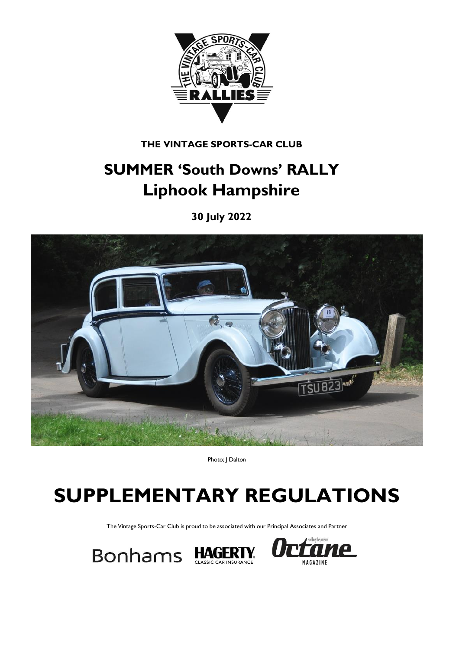

**THE VINTAGE SPORTS-CAR CLUB**

## **SUMMER 'South Downs' RALLY Liphook Hampshire**

**30 July 2022**



Photo; | Dalton

# **SUPPLEMENTARY REGULATIONS**

The Vintage Sports-Car Club is proud to be associated with our Principal Associates and Partner



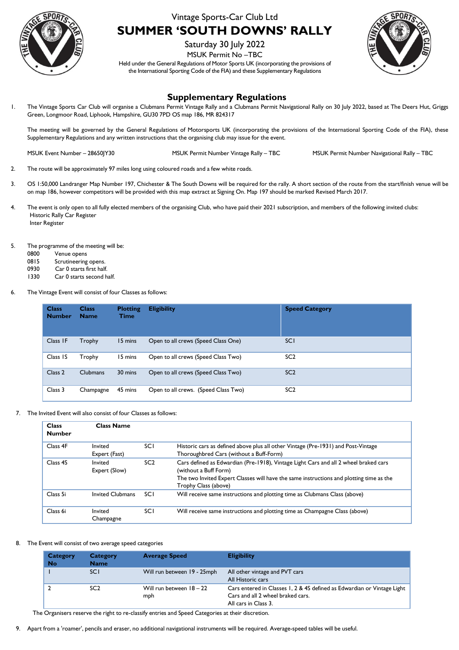

## Vintage Sports-Car Club Ltd **SUMMER 'SOUTH DOWNS' RALLY**

Saturday 30 July 2022

MSUK Permit No –TBC

Held under the General Regulations of Motor Sports UK (incorporating the provisions of the International Sporting Code of the FIA) and these Supplementary Regulations



### **Supplementary Regulations**

1. The Vintage Sports Car Club will organise a Clubmans Permit Vintage Rally and a Clubmans Permit Navigational Rally on 30 July 2022, based at The Deers Hut, Griggs Green, Longmoor Road, Liphook, Hampshire, GU30 7PD OS map 186, MR 824317

The meeting will be governed by the General Regulations of Motorsports UK (incorporating the provisions of the International Sporting Code of the FIA), these Supplementary Regulations and any written instructions that the organising club may issue for the event.

MSUK Event Number – 28650JY30 MSUK Permit Number Vintage Rally – TBC MSUK Permit Number Navigational Rally – TBC

- 2. The route will be approximately 97 miles long using coloured roads and a few white roads.
- 3. OS 1:50,000 Landranger Map Number 197, Chichester & The South Downs will be required for the rally. A short section of the route from the start/finish venue will be on map 186, however competitors will be provided with this map extract at Signing On. Map 197 should be marked Revised March 2017.
- 4. The event is only open to all fully elected members of the organising Club, who have paid their 2021 subscription, and members of the following invited clubs: Historic Rally Car Register Inter Register
- 5. The programme of the meeting will be:
	- 0800 Venue opens
	- 0815 Scrutineering opens.
	- 0930 Car 0 starts first half.
	- 1330 Car 0 starts second half.
- 6. The Vintage Event will consist of four Classes as follows:

| <b>Class</b><br><b>Number</b> | <b>Class</b><br><b>Name</b> | <b>Plotting</b><br><b>Time</b> | <b>Eligibility</b>                   | <b>Speed Category</b> |
|-------------------------------|-----------------------------|--------------------------------|--------------------------------------|-----------------------|
| Class IF                      | Trophy                      | 15 mins                        | Open to all crews (Speed Class One)  | <b>SCI</b>            |
| Class IS                      | Trophy                      | 15 mins                        | Open to all crews (Speed Class Two)  | SC <sub>2</sub>       |
| Class <sub>2</sub>            | Clubmans                    | 30 mins                        | Open to all crews (Speed Class Two)  | SC <sub>2</sub>       |
| Class 3                       | Champagne                   | 45 mins                        | Open to all crews. (Speed Class Two) | SC <sub>2</sub>       |

7. The Invited Event will also consist of four Classes as follows:

| <b>Class</b><br><b>Number</b> | <b>Class Name</b>        |                 |                                                                                                                                                                                                                                  |
|-------------------------------|--------------------------|-----------------|----------------------------------------------------------------------------------------------------------------------------------------------------------------------------------------------------------------------------------|
| Class 4F                      | Invited<br>Expert (Fast) | SCI             | Historic cars as defined above plus all other Vintage (Pre-1931) and Post-Vintage<br>Thoroughbred Cars (without a Buff-Form)                                                                                                     |
| Class <sub>4S</sub>           | Invited<br>Expert (Slow) | SC <sub>2</sub> | Cars defined as Edwardian (Pre-1918), Vintage Light Cars and all 2 wheel braked cars<br>(without a Buff Form)<br>The two Invited Expert Classes will have the same instructions and plotting time as the<br>Trophy Class (above) |
| Class 5i                      | Invited Clubmans         | <b>SCI</b>      | Will receive same instructions and plotting time as Clubmans Class (above)                                                                                                                                                       |
| Class 6i                      | Invited<br>Champagne     | <b>SCI</b>      | Will receive same instructions and plotting time as Champagne Class (above)                                                                                                                                                      |

#### 8. The Event will consist of two average speed categories

| Category<br><b>No</b> | Category<br><b>Name</b> | <b>Average Speed</b>            | <b>Eligibility</b>                                                                                                                   |
|-----------------------|-------------------------|---------------------------------|--------------------------------------------------------------------------------------------------------------------------------------|
|                       | <b>SCI</b>              | Will run between 19 - 25mph     | All other vintage and PVT cars<br>All Historic cars                                                                                  |
|                       | SC <sub>2</sub>         | Will run between 18 - 22<br>mph | Cars entered in Classes 1, 2 & 4S defined as Edwardian or Vintage Light<br>Cars and all 2 wheel braked cars.<br>All cars in Class 3. |

The Organisers reserve the right to re-classify entries and Speed Categories at their discretion.

9. Apart from a 'roamer', pencils and eraser, no additional navigational instruments will be required. Average-speed tables will be useful.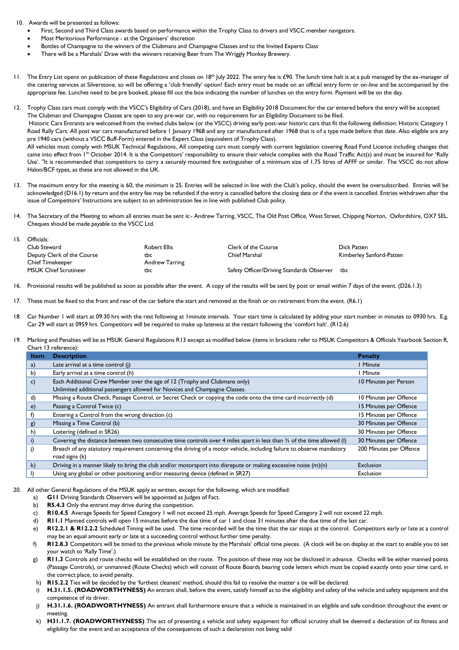10. Awards will be presented as follows:

- First, Second and Third Class awards based on performance within the Trophy Class to drivers and VSCC member navigators.
- Most Meritorious Performance at the Organisers' discretion
- Bottles of Champagne to the winners of the Clubmans and Champagne Classes and to the Invited Experts Class
- There will be a Marshals' Draw with the winners receiving Beer from The Wriggly Monkey Brewery.
- 11. The Entry List opens on publication of these Regulations and closes on 18<sup>th</sup> July 2022. The entry fee is £90. The lunch time halt is at a pub managed by the ex-manager of the catering services at Silverstone, so will be offering a 'club friendly' option! Each entry must be made on an official entry form or on-line and be accompanied by the appropriate fee. Lunches need to be pre booked, please fill out the box indicating the number of lunches on the entry form. Payment will be on the day.
- 12. Trophy Class cars must comply with the VSCC's Eligibility of Cars (2018), and have an Eligibility 2018 Document for the car entered before the entry will be accepted. The Clubman and Champagne Classes are open to any pre-war car, with no requirement for an Eligibility Document to be filed. Historic Cars Entrants are welcomed from the invited clubs below (or the VSCC) driving early post-war historic cars that fit the following definition: Historic Category 1 Road Rally Cars: All post war cars manufactured before 1 January 1968 and any car manufactured after 1968 that is of a type made before that date. Also eligible are any pre 1940 cars (without a VSCC Buff-Form) entered in the Expert Class (equivalent of Trophy Class). All vehicles must comply with MSUK Technical Regulations, All competing cars must comply with current legislation covering Road Fund Licence including changes that came into effect from 1<sup>st</sup> October 2014. It is the Competitors' responsibility to ensure their vehicle complies with the Road Traffic Act(s) and must be insured for 'Rally Use'. "It is recommended that competitors to carry a securely mounted fire extinguisher of a minimum size of 1.75 litres of AFFF or similar. The VSCC do not allow Halon/BCF types, as these are not allowed in the UK.
- 13. The maximum entry for the meeting is 60, the minimum is 25. Entries will be selected in line with the Club's policy, should the event be oversubscribed. Entries will be acknowledged (D16.1) by return and the entry fee may be refunded if the entry is cancelled before the closing date or if the event is cancelled. Entries withdrawn after the issue of Competitors' Instructions are subject to an administration fee in line with published Club policy.
- 14. The Secretary of the Meeting to whom all entries must be sent is:- Andrew Tarring, VSCC, The Old Post Office, West Street, Chipping Norton, Oxfordshire, OX7 5EL. Cheques should be made payable to the VSCC Ltd.
- 15. Officials: Club Steward Robert Ellis Clerk of the Course Dick Patten Deputy Clerk of the Course tbc the the the chief Marshal Chief Marshal Kimberley Sanford-Patten Chief Timekeeper **Andrew Tarring** MSUK Chief Scrutineer **the Safety Officer/Driving Standards Observer** tbc Safety Officer/Driving Standards Observer tbc
- 16. Provisional results will be published as soon as possible after the event. A copy of the results will be sent by post or email within 7 days of the event. (D26.1.3)
- 17. These must be fixed to the front and rear of the car before the start and removed at the finish or on retirement from the event. (R6.1)
- 18. Car Number 1 will start at 09.30 hrs with the rest following at 1minute intervals. Your start time is calculated by adding your start number in minutes to 0930 hrs. E.g. Car 29 will start at 0959 hrs. Competitors will be required to make up lateness at the restart following the 'comfort halt'. (R12.6)
- 19. Marking and Penalties will be as MSUK General Regulations R13 except as modified below (items in brackets refer to MSUK Competitors & Officials Yearbook Section R, Chart 13 reference):

| Item         | <b>Description</b>                                                                                                                | <b>Penalty</b>          |
|--------------|-----------------------------------------------------------------------------------------------------------------------------------|-------------------------|
| a)           | Late arrival at a time control (j)                                                                                                | I Minute                |
| $\mathbf{b}$ | Early arrival at a time control (h)                                                                                               | I Minute                |
| c)           | Each Additional Crew Member over the age of 12 (Trophy and Clubmans only)                                                         | 10 Minutes per Person   |
|              | Unlimited additional passengers allowed for Novices and Champagne Classes.                                                        |                         |
| d)           | Missing a Route Check, Passage Control, or Secret Check or copying the code onto the time card incorrectly (d)                    | 10 Minutes per Offence  |
| $\epsilon)$  | Passing a Control Twice (c)                                                                                                       | 15 Minutes per Offence  |
| f)           | Entering a Control from the wrong direction (c)                                                                                   | 15 Minutes per Offence  |
| g)           | Missing a Time Control (b)                                                                                                        | 30 Minutes per Offence  |
| h)           | Loitering (defined in SR26)                                                                                                       | 30 Minutes per Offence  |
| i)           | Covering the distance between two consecutive time controls over 4 miles apart in less than $\frac{3}{4}$ of the time allowed (I) | 30 Minutes per Offence  |
|              | Breach of any statutory requirement concerning the driving of a motor vehicle, including failure to observe mandatory             | 200 Minutes per Offence |
|              | road signs (k)                                                                                                                    |                         |
| $\mathsf{k}$ | Driving in a manner likely to bring the club and/or motorsport into disrepute or making excessive noise (m)(n)                    | <b>Exclusion</b>        |
|              | Using any global or other positioning and/or measuring device (defined in SR27)                                                   | Exclusion               |

20. All other General Regulations of the MSUK apply as written, except for the following, which are modified:

- a) **G11** Driving Standards Observers will be appointed as Judges of Fact.
- b) **R5.4.3** Only the entrant may drive during the competition.
- c) **R10.4.5** Average Speeds for Speed Category 1 will not exceed 25 mph. Average Speeds for Speed Category 2 will not exceed 22 mph.
- d) **R11.1** Manned controls will open 15 minutes before the due time of car 1 and close 31 minutes after the due time of the last car.
- e) R12.2.1 & R12.2.2 Scheduled Timing will be used. The time recorded will be the time that the car stops at the control. Competitors early or late at a control may be an equal amount early or late at a succeeding control without further time penalty.
- f) **R12.8.3** Competitors will be timed to the previous whole minute by the Marshals' official time pieces. (A clock will be on display at the start to enable you to set your watch to 'Rally Time'.)
- g) **R11.3** Controls and route checks will be established on the route. The position of these may not be disclosed in advance. Checks will be either manned points (Passage Controls), or unmanned (Route Checks) which will consist of Route Boards bearing code letters which must be copied exactly onto your time card, in the correct place, to avoid penalty.
- h) **R15.2.2** Ties will be decided by the 'furthest cleanest' method, should this fail to resolve the matter a tie will be declared.
- i) **H.31.1.5. (ROADWORTHYNESS)** An entrant shall, before the event, satisfy himself as to the eligibility and safety of the vehicle and safety equipment and the competence of its driver.
- j) **H.31.1.6. (ROADWORTHYNESS)** An entrant shall furthermore ensure that a vehicle is maintained in an eligible and safe condition throughout the event or meeting.
- H31.1.7. (ROADWORTHYNESS) The act of presenting a vehicle and safety equipment for official scrutiny shall be deemed a declaration of its fitness and eligibility for the event and an acceptance of the consequences of such a declaration not being valid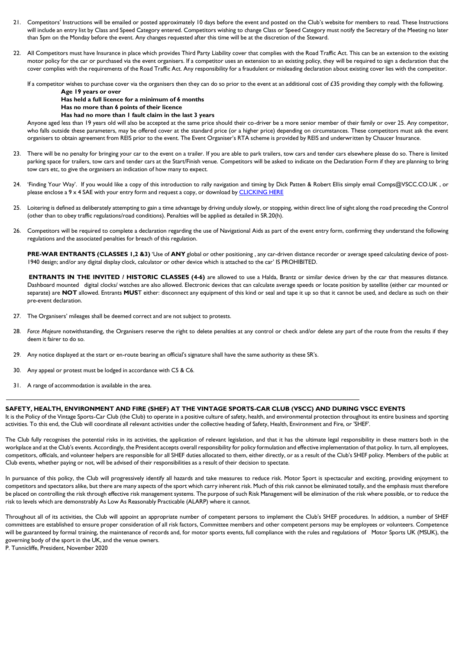- 21. Competitors' Instructions will be emailed or posted approximately 10 days before the event and posted on the Club's website for members to read. These Instructions will include an entry list by Class and Speed Category entered. Competitors wishing to change Class or Speed Category must notify the Secretary of the Meeting no later than 5pm on the Monday before the event. Any changes requested after this time will be at the discretion of the Steward.
- 22. All Competitors must have Insurance in place which provides Third Party Liability cover that complies with the Road Traffic Act. This can be an extension to the existing motor policy for the car or purchased via the event organisers. If a competitor uses an extension to an existing policy, they will be required to sign a declaration that the cover complies with the requirements of the Road Traffic Act. Any responsibility for a fraudulent or misleading declaration about existing cover lies with the competitor.

If a competitor wishes to purchase cover via the organisers then they can do so prior to the event at an additional cost of £35 providing they comply with the following.

**Age 19 years or over**

**Has held a full licence for a minimum of 6 months**

**Has no more than 6 points of their licence**

#### **Has had no more than 1 fault claim in the last 3 years**

Anyone aged less than 19 years old will also be accepted at the same price should their co-driver be a more senior member of their family or over 25. Any competitor, who falls outside these parameters, may be offered cover at the standard price (or a higher price) depending on circumstances. These competitors must ask the event organisers to obtain agreement from REIS prior to the event. The Event Organiser's RTA scheme is provided by REIS and underwritten by Chaucer Insurance.

- 23. There will be no penalty for bringing your car to the event on a trailer. If you are able to park trailers, tow cars and tender cars elsewhere please do so. There is limited parking space for trailers, tow cars and tender cars at the Start/Finish venue. Competitors will be asked to indicate on the Declaration Form if they are planning to bring tow cars etc, to give the organisers an indication of how many to expect.
- 24. 'Finding Your Way'. If you would like a copy of this introduction to rally navigation and timing by Dick Patten & Robert Ellis simply email Comps@VSCC.CO.UK , or please enclose a 9 x 4 SAE with your entry form and request a copy, or download by CLICKING HERE
- 25. Loitering is defined as deliberately attempting to gain a time advantage by driving unduly slowly, or stopping, within direct line of sight along the road preceding the Control (other than to obey traffic regulations/road conditions). Penalties will be applied as detailed in SR.20(h).
- 26. Competitors will be required to complete a declaration regarding the use of Navigational Aids as part of the event entry form, confirming they understand the following regulations and the associated penalties for breach of this regulation.

**PRE-WAR ENTRANTS (CLASSES 1,2 &3)** 'Use of **ANY** global or other positioning , any car-driven distance recorder or average speed calculating device of post-1940 design; and/or any digital display clock, calculator or other device which is attached to the car' IS PROHIBITED.

**ENTRANTS IN THE INVITED / HISTORIC CLASSES (4-6)** are allowed to use a Halda, Brantz or similar device driven by the car that measures distance. Dashboard mounted digital clocks/ watches are also allowed. Electronic devices that can calculate average speeds or locate position by satellite (either car mounted or separate) are **NOT** allowed. Entrants **MUS**T either: disconnect any equipment of this kind or seal and tape it up so that it cannot be used, and declare as such on their pre-event declaration.

- 27. The Organisers' mileages shall be deemed correct and are not subject to protests.
- 28. *Force Majeure* notwithstanding, the Organisers reserve the right to delete penalties at any control or check and/or delete any part of the route from the results if they deem it fairer to do so.
- 29. Any notice displayed at the start or en-route bearing an official's signature shall have the same authority as these SR's.
- 30. Any appeal or protest must be lodged in accordance with C5 & C6.
- 31. A range of accommodation is available in the area.

#### **SAFETY, HEALTH, ENVIRONMENT AND FIRE (SHEF) AT THE VINTAGE SPORTS-CAR CLUB (VSCC) AND DURING VSCC EVENTS**

It is the Policy of the Vintage Sports-Car Club (the Club) to operate in a positive culture of safety, health, and environmental protection throughout its entire business and sporting activities. To this end, the Club will coordinate all relevant activities under the collective heading of Safety, Health, Environment and Fire, or 'SHEF'.

The Club fully recognises the potential risks in its activities, the application of relevant legislation, and that it has the ultimate legal responsibility in these matters both in the workplace and at the Club's events. Accordingly, the President accepts overall responsibility for policy formulation and effective implementation of that policy. In turn, all employees, competitors, officials, and volunteer helpers are responsible for all SHEF duties allocated to them, either directly, or as a result of the Club's SHEF policy. Members of the public at Club events, whether paying or not, will be advised of their responsibilities as a result of their decision to spectate.

In pursuance of this policy, the Club will progressively identify all hazards and take measures to reduce risk. Motor Sport is spectacular and exciting, providing enjoyment to competitors and spectators alike, but there are many aspects of the sport which carry inherent risk. Much of this risk cannot be eliminated totally, and the emphasis must therefore be placed on controlling the risk through effective risk management systems. The purpose of such Risk Management will be elimination of the risk where possible, or to reduce the risk to levels which are demonstrably As Low As Reasonably Practicable (ALARP) where it cannot.

Throughout all of its activities, the Club will appoint an appropriate number of competent persons to implement the Club's SHEF procedures. In addition, a number of SHEF committees are established to ensure proper consideration of all risk factors, Committee members and other competent persons may be employees or volunteers. Competence will be guaranteed by formal training, the maintenance of records and, for motor sports events, full compliance with the rules and regulations of Motor Sports UK (MSUK), the governing body of the sport in the UK, and the venue owners.

P. Tunnicliffe, President, November 2020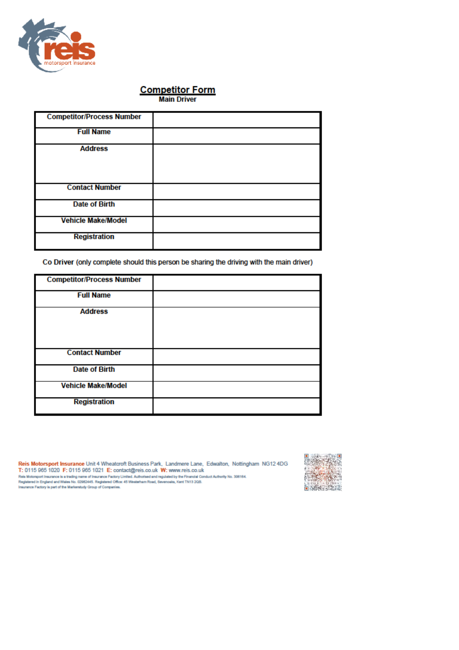

## **Competitor Form**<br>Main Driver

| <b>Competitor/Process Number</b> |  |
|----------------------------------|--|
| <b>Full Name</b>                 |  |
| <b>Address</b>                   |  |
| <b>Contact Number</b>            |  |
| <b>Date of Birth</b>             |  |
| <b>Vehicle Make/Model</b>        |  |
| <b>Registration</b>              |  |

Co Driver (only complete should this person be sharing the driving with the main driver)

| <b>Competitor/Process Number</b> |  |
|----------------------------------|--|
| <b>Full Name</b>                 |  |
| <b>Address</b>                   |  |
| <b>Contact Number</b>            |  |
| <b>Date of Birth</b>             |  |
| <b>Vehicle Make/Model</b>        |  |
| <b>Registration</b>              |  |

Reis Motorsport Insurance Unit 4 Wheatcroft Business Park, Landmere Lane, Edwalton, Nottingham NG12 4DG<br>T: 0115 965 1020 F: 0115 965 1021 E: contact@reis.co.uk W: www.reis.co.uk 1. University of the Mathematical China of Interactor Packing China and Mathematical Conduct Authority No. 306164.<br>Registered in England and Wales No. 02962445. Registered Office: 45 Westerham Road, Sevenceis, Kent TN13 2Q

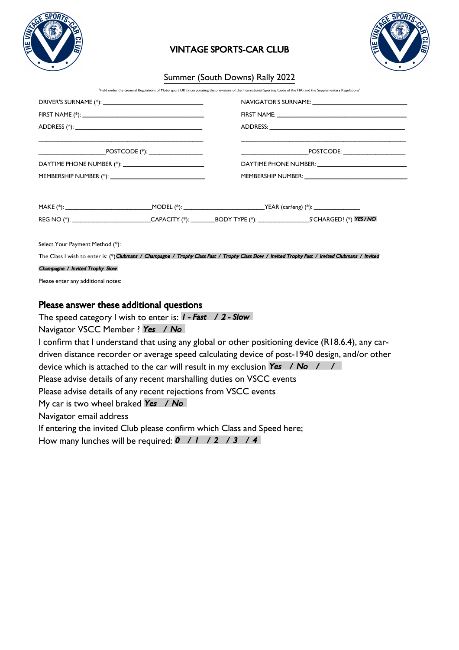

## VINTAGE SPORTS-CAR CLUB



### Summer (South Downs) Rally 2022

'Held under the General Regulations of Motorsport UK (incorporating the provisions of the International Sporting Code of the FIA) and the Supplementary Regulations'

|                                                              |  | NAVIGATOR'S SURNAME: University of the University of the University of the University of the University of the |                                                                                                                                                   |  |  |  |
|--------------------------------------------------------------|--|----------------------------------------------------------------------------------------------------------------|---------------------------------------------------------------------------------------------------------------------------------------------------|--|--|--|
|                                                              |  |                                                                                                                |                                                                                                                                                   |  |  |  |
|                                                              |  |                                                                                                                |                                                                                                                                                   |  |  |  |
|                                                              |  |                                                                                                                | $\overbrace{\text{POSTCODE:}}$                                                                                                                    |  |  |  |
|                                                              |  |                                                                                                                |                                                                                                                                                   |  |  |  |
|                                                              |  |                                                                                                                |                                                                                                                                                   |  |  |  |
|                                                              |  |                                                                                                                |                                                                                                                                                   |  |  |  |
|                                                              |  |                                                                                                                |                                                                                                                                                   |  |  |  |
|                                                              |  |                                                                                                                | REG NO (*): ____________________________CAPACITY (*): _________BODY TYPE (*): ______________________S'CHARGED? (*) YES/NO                         |  |  |  |
| Select Your Payment Method (*):                              |  |                                                                                                                |                                                                                                                                                   |  |  |  |
|                                                              |  |                                                                                                                | The Class I wish to enter is: (*) Clubmans / Champagne / Trophy Class Fast / Trophy Class Slow / Invited Trophy Fast / Invited Clubmans / Invited |  |  |  |
| Champagne / Invited Trophy Slow                              |  |                                                                                                                |                                                                                                                                                   |  |  |  |
| Please enter any additional notes:                           |  |                                                                                                                |                                                                                                                                                   |  |  |  |
| Please answer these additional questions                     |  |                                                                                                                |                                                                                                                                                   |  |  |  |
| The speed category I wish to enter is: $I - Fast$ / 2 - Slow |  |                                                                                                                |                                                                                                                                                   |  |  |  |
| Navigator VSCC Member ? Yes / No                             |  |                                                                                                                |                                                                                                                                                   |  |  |  |
|                                                              |  |                                                                                                                |                                                                                                                                                   |  |  |  |

Navigator VSCC Member ? Yes / No I confirm that I understand that using any global or other positioning device (R18.6.4), any cardriven distance recorder or average speed calculating device of post-1940 design, and/or other device which is attached to the car will result in my exclusion Yes  $\left/$  No  $\left/$   $\right/$ Please advise details of any recent marshalling duties on VSCC events Please advise details of any recent rejections from VSCC events My car is two wheel braked Yes / No Navigator email address If entering the invited Club please confirm which Class and Speed here;

How many lunches will be required:  $0$  / 1 / 2 / 3 / 4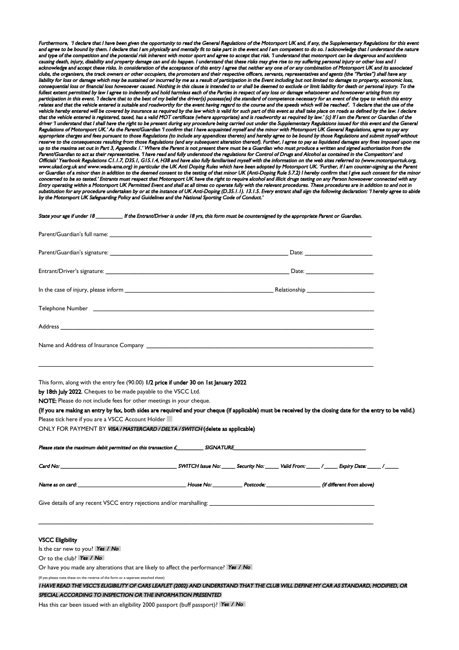ore, *'I declare that I have been given the opportunity to read the General Regulations of the Motorsport UK and, if any, the Supplementary Regulations for this eve* and agree to be bound by them. I declare that I am physically and mentally fit to take part in the event and I am competent to do so. I acknowledge that I understand the nature and type of the competition and the potential risk inherent with motor sport and agree to accept that risk. 'I understand that motorsport can be dangerous and accidents causing death, injury, disability and property damage can and do happen. I understand that these risks may give rise to my suffering personal injury or other loss and I acknowledge and accept these risks. In consideration of the acceptance of this entry I agree that neither any one of or any combination of Motorsport UK and its associated clubs, the organisers, the track owners or other occupiers, the promoters and their respective officers, servants, representatives and agents (the "Parties") shall have any liability for loss or damage which may be sustained or incurred by me as a result of participation in the Event including but not limited to damage to property, economic loss,<br>consequential loss or financial loss howsoever ncial loss howsoever caused. Nothing in this clause is intended to or shall be deemed to exclude or limit liability for death or personal injury. To the fullest extent permitted by law I agree to indemnify and hold harmless each of the Parties in respect of any loss or damage whatsoever and howsoever arising from my<br>participation in this event. 'I declare that to the best relates and that the vehicle entered is suitable and roadworthy for the event having regard to the course and the speeds which will be reached'. 'I declare that the use of the vehicle hereby entered will be covered by insurance as required by the law which is valid for such part of this event as shall take place on roads as defined by the law. I declare that the vehicle entered is registered, taxed, has a valid MOT certificate (where appropriate) and is roadworthy as required by law.' (c) If I am the Parent or Guardian of the driver 'I understand that I shall have the right to be present during any procedure being carried out under the Supplementary Regulations issued for this event and the General Regulations of Motorsport UK.' As the Parent/Guardian 'I confirm that I have acquainted myself and the minor with Motorsport UK General Regulations, agree to pay any appropriate charges and fees pursuant to those Regulations (to include any appendices thereto) and hereby agree to be bound by those Regulations and submit myself without reserve to the consequences resulting from those Regulations (and any subsequent alteration thereof). Further, I agree to pay as liquidated damages any fines imposed upon me<br>up to the maxima set out in Part 3, Appendix I.' up to the maxima set out in Part 3, Appendix 1.' Where the Parent is not present there must be a Guardian who must prod<br>Parent/Guardian to act as their representative. 'I have read and fully understood the regulations for parative. 'I have read and fully understood the regulations for Control of Drugs and Alcohol as contained in the Competitors' and Officials' Yearbook Regulations C1.1.7, D35.1, G15.1.4, H38 and have also fully familiarised myself with the information on the web sites referred to (www.motorsportuk.org,<br>www.ukad.org.uk and www.wada-ama.org) in particul www.ukad.org.uk and www.wada-ama.org) in particular the UK Anti Doping Rules which have been adopted by Motorsport UK. 'Further, if I am count or Guardian of a minor then in addition to the deemed consent to the testing of that minor UK (Anti-Doping Rule 5.7.2) I hereby confirm that I give such consent for the minor concerned to be so tested.' Entrants must respect that Motorsport UK have the right to require alcohol and illicit drugs testing on any Person howsoever connected with any<br>Entry operating within a Motorsport UK Permitted E substitution for any procedure undertaken by or at the instance of UK Anti-Doping (D.35.1.1). 13.1.5. Every entrant shall sign the following declaration: 'I hereby agree to abide by the Motorsport UK Safeguarding Policy and Guidelines and the National Sporting Code of Conduct.'

#### State your age if under 18 \_\_\_\_\_\_\_\_\_\_ If the Entrant/Driver is under 18 yrs, this form must be countersigned by the appropriate Parent or Guardian.

| Telephone Number 2008 Communication of the Communication of the Communication of the Communication of the Communication of the Communication of the Communication of the Communication of the Communication of the Communicati                                                                                                                                                                                                                                                                                                       |  |  |  |  |  |
|--------------------------------------------------------------------------------------------------------------------------------------------------------------------------------------------------------------------------------------------------------------------------------------------------------------------------------------------------------------------------------------------------------------------------------------------------------------------------------------------------------------------------------------|--|--|--|--|--|
|                                                                                                                                                                                                                                                                                                                                                                                                                                                                                                                                      |  |  |  |  |  |
|                                                                                                                                                                                                                                                                                                                                                                                                                                                                                                                                      |  |  |  |  |  |
| This form, along with the entry fee (90.00) 1/2 price if under 30 on 1st January 2022<br>by 18th July 2022. Cheques to be made payable to the VSCC Ltd.<br>NOTE: Please do not include fees for other meetings in your cheque.<br>(If you are making an entry by fax, both sides are required and your cheque (if applicable) must be received by the closing date for the entry to be valid.)<br>Please tick here if you are a VSCC Account Holder<br>ONLY FOR PAYMENT BY VISA / MASTERCARD / DELTA / SWITCH (delete as applicable) |  |  |  |  |  |
|                                                                                                                                                                                                                                                                                                                                                                                                                                                                                                                                      |  |  |  |  |  |
|                                                                                                                                                                                                                                                                                                                                                                                                                                                                                                                                      |  |  |  |  |  |
|                                                                                                                                                                                                                                                                                                                                                                                                                                                                                                                                      |  |  |  |  |  |
|                                                                                                                                                                                                                                                                                                                                                                                                                                                                                                                                      |  |  |  |  |  |
| <b>VSCC Eligibility</b><br>Is the car new to you? Yes / No                                                                                                                                                                                                                                                                                                                                                                                                                                                                           |  |  |  |  |  |
| Or to the club? Yes / No                                                                                                                                                                                                                                                                                                                                                                                                                                                                                                             |  |  |  |  |  |
| Or have you made any alterations that are likely to affect the performance? Yes / No                                                                                                                                                                                                                                                                                                                                                                                                                                                 |  |  |  |  |  |
| (If yes please note these on the reverse of the form or a seperate attached sheet)                                                                                                                                                                                                                                                                                                                                                                                                                                                   |  |  |  |  |  |
| I HAVE READ THE VSCC'S ELIGIBILITY OF CARS LEAFLET (2002) AND UNDERSTAND THAT THE CLUB WILL DEFINE MY CAR AS STANDARD, MODIFIED, OR                                                                                                                                                                                                                                                                                                                                                                                                  |  |  |  |  |  |

SPECIAL ACCORDING TO INSPECTION OR THE INFORMATION PRESENTED

Has this car been issued with an eligibility 2000 passport (buff passport)? Yes / No